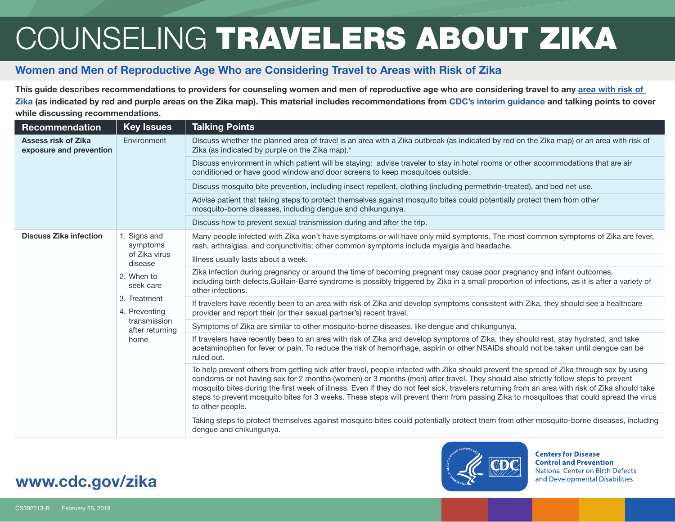## COUNSELING TRAVELERS ABOUT ZIKA

## Women and Men of Reproductive Age Who are Considering Travel to Areas with Risk of Zika

This guide describes recommendations to providers for counseling women and men of reproductive age who are considering travel to any area with risk of [Zika](https://wwwnc.cdc.gov/travel/page/world-map-areas-with-zika) (as indicated by red and purple areas on the Zika map). This material includes recommendations from [CDC's interim guidance](https://www.cdc.gov/mmwr/volumes/67/wr/mm6731e2.htm?s_cid=mm6731e2_w ) and talking points to cover while discussing recommendations.

| Recommendation                                        | <b>Key Issues</b>                                                        | <b>Talking Points</b>                                                                                                                                                                                                                                                                                                                                                                                                                                                                                                                                                                       |
|-------------------------------------------------------|--------------------------------------------------------------------------|---------------------------------------------------------------------------------------------------------------------------------------------------------------------------------------------------------------------------------------------------------------------------------------------------------------------------------------------------------------------------------------------------------------------------------------------------------------------------------------------------------------------------------------------------------------------------------------------|
| <b>Assess risk of Zika</b><br>exposure and prevention | Environment                                                              | Discuss whether the planned area of travel is an area with a Zika outbreak (as indicated by red on the Zika map) or an area with risk of<br>Zika (as indicated by purple on the Zika map).*                                                                                                                                                                                                                                                                                                                                                                                                 |
|                                                       |                                                                          | Discuss environment in which patient will be staying: advise traveler to stay in hotel rooms or other accommodations that are air<br>conditioned or have good window and door screens to keep mosquitoes outside.                                                                                                                                                                                                                                                                                                                                                                           |
|                                                       |                                                                          | Discuss mosquito bite prevention, including insect repellent, clothing (including permethrin-treated), and bed net use.                                                                                                                                                                                                                                                                                                                                                                                                                                                                     |
|                                                       |                                                                          | Advise patient that taking steps to protect themselves against mosquito bites could potentially protect them from other<br>mosquito-borne diseases, including dengue and chikungunya.                                                                                                                                                                                                                                                                                                                                                                                                       |
|                                                       |                                                                          | Discuss how to prevent sexual transmission during and after the trip.                                                                                                                                                                                                                                                                                                                                                                                                                                                                                                                       |
| <b>Discuss Zika infection</b>                         | 1. Signs and<br>symptoms<br>of Zika virus<br>disease                     | Many people infected with Zika won't have symptoms or will have only mild symptoms. The most common symptoms of Zika are fever,<br>rash, arthralgias, and conjunctivitis; other common symptoms include myalgia and headache.                                                                                                                                                                                                                                                                                                                                                               |
|                                                       |                                                                          | Illness usually lasts about a week.                                                                                                                                                                                                                                                                                                                                                                                                                                                                                                                                                         |
|                                                       | 2. When to<br>seek care                                                  | Zika infection during pregnancy or around the time of becoming pregnant may cause poor pregnancy and infant outcomes,<br>including birth defects. Guillain-Barré syndrome is possibly triggered by Zika in a small proportion of infections, as it is after a variety of<br>other infections.                                                                                                                                                                                                                                                                                               |
|                                                       | 3. Treatment<br>4. Preventing<br>transmission<br>after returning<br>home | If travelers have recently been to an area with risk of Zika and develop symptoms consistent with Zika, they should see a healthcare<br>provider and report their (or their sexual partner's) recent travel.                                                                                                                                                                                                                                                                                                                                                                                |
|                                                       |                                                                          | Symptoms of Zika are similar to other mosquito-borne diseases, like dengue and chikungunya.                                                                                                                                                                                                                                                                                                                                                                                                                                                                                                 |
|                                                       |                                                                          | If travelers have recently been to an area with risk of Zika and develop symptoms of Zika, they should rest, stay hydrated, and take<br>acetaminophen for fever or pain. To reduce the risk of hemorrhage, aspirin or other NSAIDs should not be taken until dengue can be<br>ruled out.                                                                                                                                                                                                                                                                                                    |
|                                                       |                                                                          | To help prevent others from getting sick after travel, people infected with Zika should prevent the spread of Zika through sex by using<br>condoms or not having sex for 2 months (women) or 3 months (men) after travel. They should also strictly follow steps to prevent<br>mosquito bites during the first week of illness. Even if they do not feel sick, travelers returning from an area with risk of Zika should take<br>steps to prevent mosquito bites for 3 weeks. These steps will prevent them from passing Zika to mosquitoes that could spread the virus<br>to other people. |
|                                                       |                                                                          | Taking steps to protect themselves against mosquito bites could potentially protect them from other mosquito-borne diseases, including<br>dengue and chikungunya.                                                                                                                                                                                                                                                                                                                                                                                                                           |



**Centers for Disease Control and Prevention National Center on Birth Defects** and Developmental Disabilities